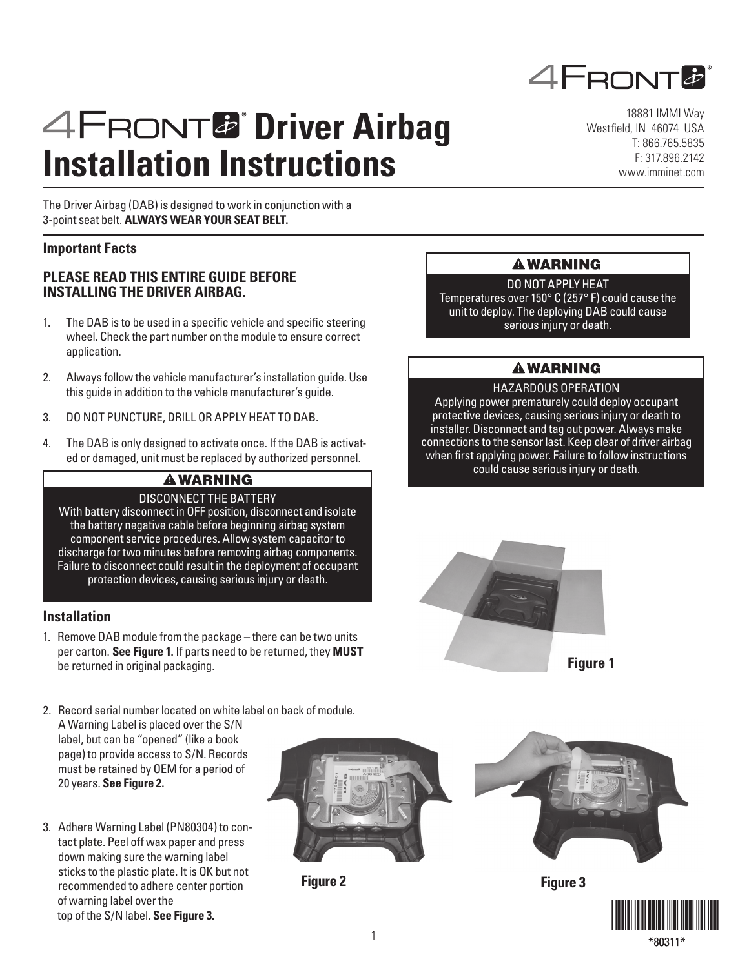

# **AFRONT<sup>2</sup>** Driver Airbag **Installation Instructions**

The Driver Airbag (DAB) is designed to work in conjunction with a 3-point seat belt. **ALWAYS WEAR YOUR SEAT BELT.**

## **Important Facts**

## **PLEASE READ THIS ENTIRE GUIDE BEFORE INSTALLING THE DRIVER AIRBAG.**

- 1. The DAB is to be used in a specific vehicle and specific steering wheel. Check the part number on the module to ensure correct application.
- 2. Always follow the vehicle manufacturer's installation guide. Use this guide in addition to the vehicle manufacturer's guide.
- 3. DO NOT PUNCTURE, DRILL OR APPLY HEAT TO DAB.
- 4. The DAB is only designed to activate once. If the DAB is activated or damaged, unit must be replaced by authorized personnel.

## **A WARNING**

## DISCONNECT THE BATTERY

With battery disconnect in OFF position, disconnect and isolate the battery negative cable before beginning airbag system component service procedures. Allow system capacitor to discharge for two minutes before removing airbag components. Failure to disconnect could result in the deployment of occupant protection devices, causing serious injury or death.

#### **Installation**

- 1. Remove DAB module from the package there can be two units per carton. **See Figure 1.** If parts need to be returned, they **MUST** be returned in original packaging.
- 2. Record serial number located on white label on back of module. A Warning Label is placed over the S/N label, but can be "opened" (like a book page) to provide access to S/N. Records must be retained by OEM for a period of 20 years. **See Figure 2.**
- 3. Adhere Warning Label (PN80304) to contact plate. Peel off wax paper and press down making sure the warning label sticks to the plastic plate. It is OK but not recommended to adhere center portion of warning label over the top of the S/N label. **See Figure 3.**



**Figure 2**

18881 IMMI Way Westfield, IN 46074 USA T: 866.765.5835 F: 317.896.2142 www.imminet.com

## **A WARNING**

DO NOT APPLY HEAT Temperatures over 150° C (257° F) could cause the unit to deploy. The deploying DAB could cause serious injury or death.

# **A WARNING**

#### HAZARDOUS OPERATION

Applying power prematurely could deploy occupant protective devices, causing serious injury or death to installer. Disconnect and tag out power. Always make connections to the sensor last. Keep clear of driver airbag when first applying power. Failure to follow instructions could cause serious injury or death.





**Figure 3**